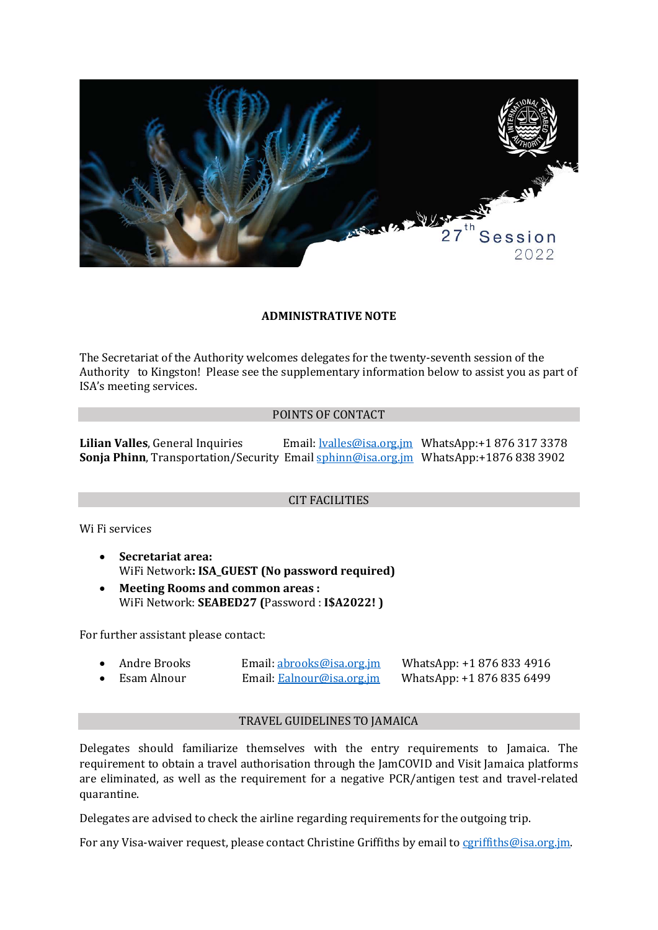

### **ADMINISTRATIVE NOTE**

The Secretariat of the Authority welcomes delegates for the twenty-seventh session of the Authority to Kingston! Please see the supplementary information below to assist you as part of ISA's meeting services.

### POINTS OF CONTACT

**Lilian Valles**, General Inquiries Email[: lvalles@isa.org.jm](mailto:lvalles@isa.org.jm) WhatsApp:+1 876 317 3378 **Sonja Phinn**, Transportation/Security Email [sphinn@isa.org.jm](mailto:sphinn@isa.org.jm) WhatsApp:+1876 838 3902

### CIT FACILITIES

Wi Fi services

- **Secretariat area:**  WiFi Network**: ISA\_GUEST (No password required)**
- **Meeting Rooms and common areas :** WiFi Network: **SEABED27 (**Password : **I\$A2022! )**

For further assistant please contact:

| Andre Brooks | Email: abrooks@isa.org.jm | WhatsApp: +1 876 833 4916 |
|--------------|---------------------------|---------------------------|
| Esam Alnour  | Email: Ealnour@isa.org.jm | WhatsApp: +1 876 835 6499 |

## TRAVEL GUIDELINES TO JAMAICA

Delegates should familiarize themselves with the entry requirements to Jamaica. The requirement to obtain a travel authorisation through the JamCOVID and Visit Jamaica platforms are eliminated, as well as the requirement for a negative PCR/antigen test and travel-related quarantine.

Delegates are advised to check the airline regarding requirements for the outgoing trip.

For any Visa-waiver request, please contact Christine Griffiths by email to [cgriffiths@isa.org.jm.](mailto:cgriffiths@isa.org.jm)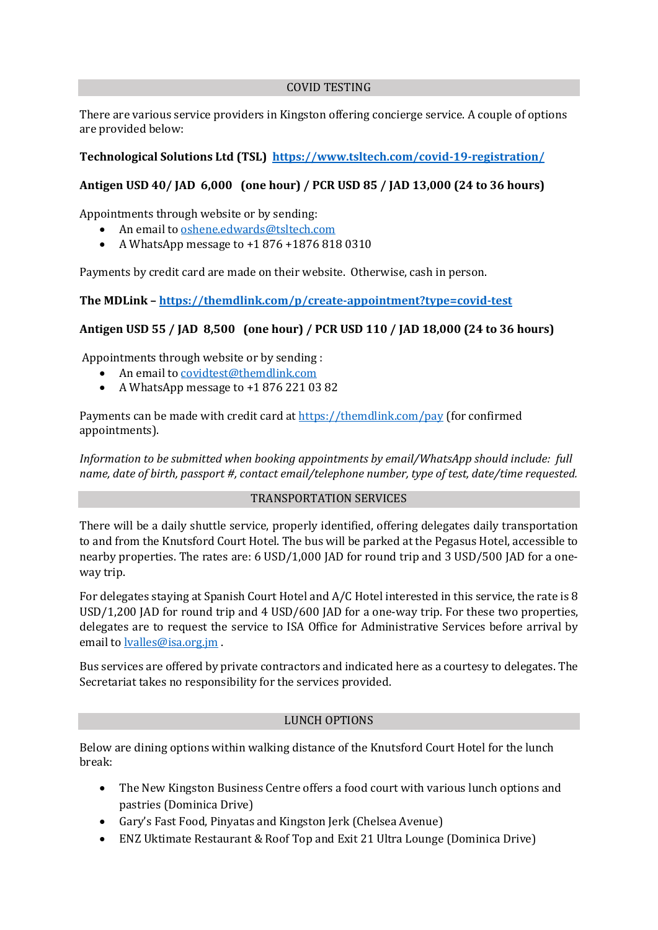### COVID TESTING

There are various service providers in Kingston offering concierge service. A couple of options are provided below:

## **Technological Solutions Ltd (TSL)<https://www.tsltech.com/covid-19-registration/>**

# **Antigen USD 40/ JAD 6,000 (one hour) / PCR USD 85 / JAD 13,000 (24 to 36 hours)**

Appointments through website or by sending:

- An email to [oshene.edwards@tsltech.com](mailto:oshene.edwards@tsltech.com)
- A WhatsApp message to +1 876 +1876 818 0310

Payments by credit card are made on their website. Otherwise, cash in person.

**The MDLink – <https://themdlink.com/p/create-appointment?type=covid-test>**

## **Antigen USD 55 / JAD 8,500 (one hour) / PCR USD 110 / JAD 18,000 (24 to 36 hours)**

Appointments through website or by sending :

- An email to [covidtest@themdlink.com](mailto:covidtest@themdlink.com)
- A WhatsApp message to +1 876 221 03 82

Payments can be made with credit card a[t https://themdlink.com/pay](https://themdlink.com/pay) (for confirmed appointments).

*Information to be submitted when booking appointments by email/WhatsApp should include: full name, date of birth, passport #, contact email/telephone number, type of test, date/time requested.* 

### TRANSPORTATION SERVICES

There will be a daily shuttle service, properly identified, offering delegates daily transportation to and from the Knutsford Court Hotel. The bus will be parked at the Pegasus Hotel, accessible to nearby properties. The rates are: 6 USD/1,000 JAD for round trip and 3 USD/500 JAD for a oneway trip.

For delegates staying at Spanish Court Hotel and A/C Hotel interested in this service, the rate is 8 USD/1,200 JAD for round trip and 4 USD/600 JAD for a one-way trip. For these two properties, delegates are to request the service to ISA Office for Administrative Services before arrival by email to **lyalles@isa.org.jm**.

Bus services are offered by private contractors and indicated here as a courtesy to delegates. The Secretariat takes no responsibility for the services provided.

### LUNCH OPTIONS

Below are dining options within walking distance of the Knutsford Court Hotel for the lunch break:

- The New Kingston Business Centre offers a food court with various lunch options and pastries (Dominica Drive)
- Gary's Fast Food, Pinyatas and Kingston Jerk (Chelsea Avenue)
- ENZ Uktimate Restaurant & Roof Top and Exit 21 Ultra Lounge (Dominica Drive)